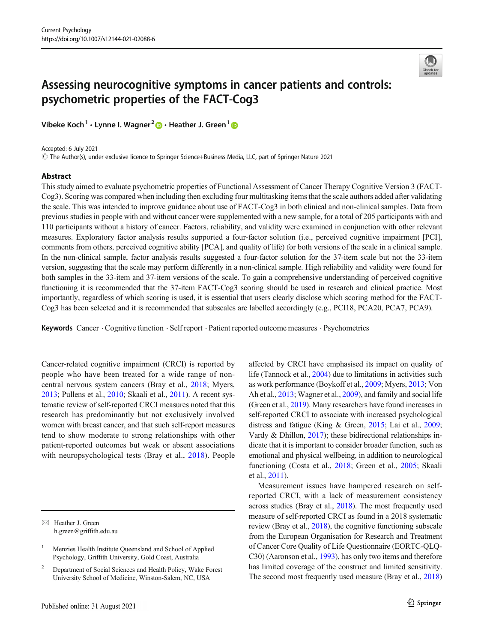

# Assessing neurocognitive symptoms in cancer patients and controls: psychometric properties of the FACT-Cog3

Vibeke Koch<sup>1</sup> · Lynne I. Wagner<sup>2</sup>  $\bullet$  · Heather J. Green<sup>1</sup>  $\bullet$ 

Accepted: 6 July 2021

# The Author(s), under exclusive licence to Springer Science+Business Media, LLC, part of Springer Nature 2021

#### **Abstract**

This study aimed to evaluate psychometric properties of Functional Assessment of Cancer Therapy Cognitive Version 3 (FACT-Cog3). Scoring was compared when including then excluding four multitasking items that the scale authors added after validating the scale. This was intended to improve guidance about use of FACT-Cog3 in both clinical and non-clinical samples. Data from previous studies in people with and without cancer were supplemented with a new sample, for a total of 205 participants with and 110 participants without a history of cancer. Factors, reliability, and validity were examined in conjunction with other relevant measures. Exploratory factor analysis results supported a four-factor solution (i.e., perceived cognitive impairment [PCI], comments from others, perceived cognitive ability [PCA], and quality of life) for both versions of the scale in a clinical sample. In the non-clinical sample, factor analysis results suggested a four-factor solution for the 37-item scale but not the 33-item version, suggesting that the scale may perform differently in a non-clinical sample. High reliability and validity were found for both samples in the 33-item and 37-item versions of the scale. To gain a comprehensive understanding of perceived cognitive functioning it is recommended that the 37-item FACT-Cog3 scoring should be used in research and clinical practice. Most importantly, regardless of which scoring is used, it is essential that users clearly disclose which scoring method for the FACT-Cog3 has been selected and it is recommended that subscales are labelled accordingly (e.g., PCI18, PCA20, PCA7, PCA9).

Keywords Cancer . Cognitive function . Self report . Patient reported outcome measures . Psychometrics

Cancer-related cognitive impairment (CRCI) is reported by people who have been treated for a wide range of noncentral nervous system cancers (Bray et al., [2018;](#page-9-0) Myers, [2013;](#page-9-0) Pullens et al., [2010;](#page-9-0) Skaali et al., [2011](#page-9-0)). A recent systematic review of self-reported CRCI measures noted that this research has predominantly but not exclusively involved women with breast cancer, and that such self-report measures tend to show moderate to strong relationships with other patient-reported outcomes but weak or absent associations with neuropsychological tests (Bray et al., [2018\)](#page-9-0). People affected by CRCI have emphasised its impact on quality of life (Tannock et al., [2004\)](#page-10-0) due to limitations in activities such as work performance (Boykoff et al., [2009](#page-9-0); Myers, [2013;](#page-9-0) Von Ah et al., [2013;](#page-10-0) Wagner et al., [2009\)](#page-10-0), and family and social life (Green et al., [2019](#page-9-0)). Many researchers have found increases in self-reported CRCI to associate with increased psychological distress and fatigue (King & Green, [2015](#page-9-0); Lai et al., [2009;](#page-9-0) Vardy & Dhillon, [2017](#page-10-0)); these bidirectional relationships indicate that it is important to consider broader function, such as emotional and physical wellbeing, in addition to neurological functioning (Costa et al., [2018;](#page-9-0) Green et al., [2005](#page-9-0); Skaali et al., [2011\)](#page-9-0).

Measurement issues have hampered research on selfreported CRCI, with a lack of measurement consistency across studies (Bray et al., [2018\)](#page-9-0). The most frequently used measure of self-reported CRCI as found in a 2018 systematic review (Bray et al., [2018](#page-9-0)), the cognitive functioning subscale from the European Organisation for Research and Treatment of Cancer Core Quality of Life Questionnaire (EORTC-QLQ-C30) (Aaronson et al., [1993\)](#page-8-0), has only two items and therefore has limited coverage of the construct and limited sensitivity. The second most frequently used measure (Bray et al., [2018](#page-9-0))

 $\boxtimes$  Heather J. Green [h.green@griffith.edu.au](mailto:h.green@griffith.edu.au)

Menzies Health Institute Queensland and School of Applied Psychology, Griffith University, Gold Coast, Australia

<sup>&</sup>lt;sup>2</sup> Department of Social Sciences and Health Policy, Wake Forest University School of Medicine, Winston-Salem, NC, USA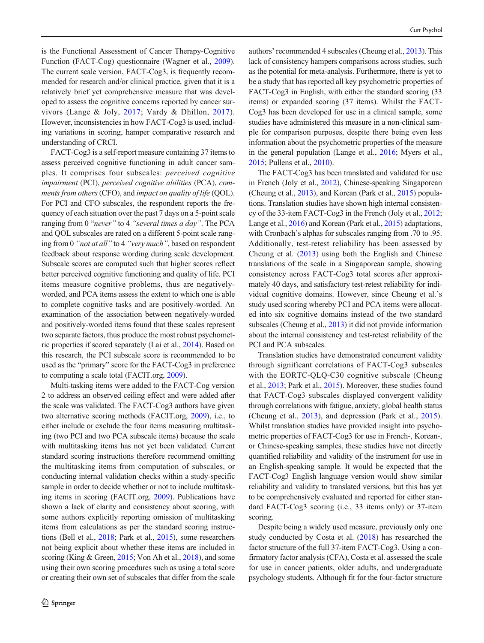is the Functional Assessment of Cancer Therapy-Cognitive Function (FACT-Cog) questionnaire (Wagner et al., [2009](#page-10-0)). The current scale version, FACT-Cog3, is frequently recommended for research and/or clinical practice, given that it is a relatively brief yet comprehensive measure that was developed to assess the cognitive concerns reported by cancer survivors (Lange & Joly, [2017](#page-9-0); Vardy & Dhillon, [2017](#page-10-0)). However, inconsistencies in how FACT-Cog3 is used, including variations in scoring, hamper comparative research and understanding of CRCI.

FACT-Cog3 is a self-report measure containing 37 items to assess perceived cognitive functioning in adult cancer samples. It comprises four subscales: perceived cognitive impairment (PCI), perceived cognitive abilities (PCA), comments from others (CFO), and impact on quality of life (QOL). For PCI and CFO subscales, the respondent reports the frequency of each situation over the past 7 days on a 5-point scale ranging from 0 "never" to 4 "several times a day". The PCA and QOL subscales are rated on a different 5-point scale ranging from 0 "not at all" to 4 "very much", based on respondent feedback about response wording during scale development. Subscale scores are computed such that higher scores reflect better perceived cognitive functioning and quality of life. PCI items measure cognitive problems, thus are negativelyworded, and PCA items assess the extent to which one is able to complete cognitive tasks and are positively-worded. An examination of the association between negatively-worded and positively-worded items found that these scales represent two separate factors, thus produce the most robust psychometric properties if scored separately (Lai et al., [2014\)](#page-9-0). Based on this research, the PCI subscale score is recommended to be used as the "primary" score for the FACT-Cog3 in preference to computing a scale total (FACIT.org, [2009](#page-9-0)).

Multi-tasking items were added to the FACT-Cog version 2 to address an observed ceiling effect and were added after the scale was validated. The FACT-Cog3 authors have given two alternative scoring methods (FACIT.org, [2009](#page-9-0)), i.e., to either include or exclude the four items measuring multitasking (two PCI and two PCA subscale items) because the scale with multitasking items has not yet been validated. Current standard scoring instructions therefore recommend omitting the multitasking items from computation of subscales, or conducting internal validation checks within a study-specific sample in order to decide whether or not to include multitasking items in scoring (FACIT.org, [2009](#page-9-0)). Publications have shown a lack of clarity and consistency about scoring, with some authors explicitly reporting omission of multitasking items from calculations as per the standard scoring instructions (Bell et al., [2018;](#page-9-0) Park et al., [2015\)](#page-9-0), some researchers not being explicit about whether these items are included in scoring (King & Green, [2015](#page-9-0); Von Ah et al., [2018\)](#page-10-0), and some using their own scoring procedures such as using a total score or creating their own set of subscales that differ from the scale

authors' recommended 4 subscales (Cheung et al., [2013](#page-9-0)). This lack of consistency hampers comparisons across studies, such as the potential for meta-analysis. Furthermore, there is yet to be a study that has reported all key psychometric properties of FACT-Cog3 in English, with either the standard scoring (33 items) or expanded scoring (37 items). Whilst the FACT-Cog3 has been developed for use in a clinical sample, some studies have administered this measure in a non-clinical sample for comparison purposes, despite there being even less information about the psychometric properties of the measure in the general population (Lange et al., [2016;](#page-9-0) Myers et al., [2015;](#page-9-0) Pullens et al., [2010\)](#page-9-0).

The FACT-Cog3 has been translated and validated for use in French (Joly et al., [2012\)](#page-9-0), Chinese-speaking Singaporean (Cheung et al., [2013\)](#page-9-0), and Korean (Park et al., [2015\)](#page-9-0) populations. Translation studies have shown high internal consistency of the 33-item FACT-Cog3 in the French (Joly et al., [2012;](#page-9-0) Lange et al., [2016\)](#page-9-0) and Korean (Park et al., [2015\)](#page-9-0) adaptations, with Cronbach's alphas for subscales ranging from .70 to .95. Additionally, test-retest reliability has been assessed by Cheung et al. ([2013](#page-9-0)) using both the English and Chinese translations of the scale in a Singaporean sample, showing consistency across FACT-Cog3 total scores after approximately 40 days, and satisfactory test-retest reliability for individual cognitive domains. However, since Cheung et al.'s study used scoring whereby PCI and PCA items were allocated into six cognitive domains instead of the two standard subscales (Cheung et al., [2013\)](#page-9-0) it did not provide information about the internal consistency and test-retest reliability of the PCI and PCA subscales.

Translation studies have demonstrated concurrent validity through significant correlations of FACT-Cog3 subscales with the EORTC-QLQ-C30 cognitive subscale (Cheung et al., [2013](#page-9-0); Park et al., [2015](#page-9-0)). Moreover, these studies found that FACT-Cog3 subscales displayed convergent validity through correlations with fatigue, anxiety, global health status (Cheung et al., [2013\)](#page-9-0), and depression (Park et al., [2015](#page-9-0)). Whilst translation studies have provided insight into psychometric properties of FACT-Cog3 for use in French-, Korean-, or Chinese-speaking samples, these studies have not directly quantified reliability and validity of the instrument for use in an English-speaking sample. It would be expected that the FACT-Cog3 English language version would show similar reliability and validity to translated versions, but this has yet to be comprehensively evaluated and reported for either standard FACT-Cog3 scoring (i.e., 33 items only) or 37-item scoring.

Despite being a widely used measure, previously only one study conducted by Costa et al. ([2018\)](#page-9-0) has researched the factor structure of the full 37-item FACT-Cog3. Using a confirmatory factor analysis (CFA), Costa et al. assessed the scale for use in cancer patients, older adults, and undergraduate psychology students. Although fit for the four-factor structure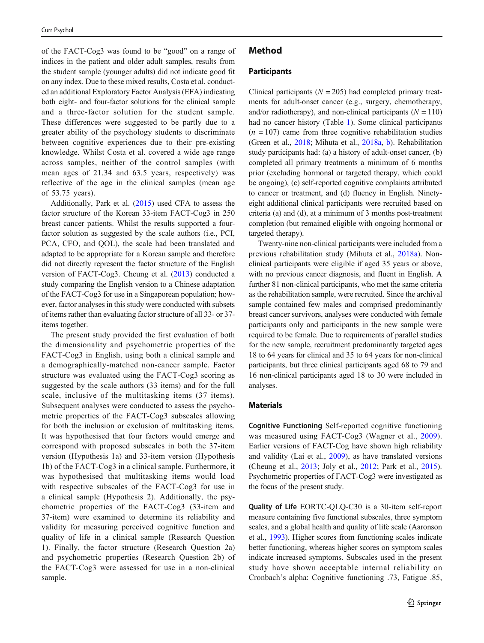of the FACT-Cog3 was found to be "good" on a range of indices in the patient and older adult samples, results from the student sample (younger adults) did not indicate good fit on any index. Due to these mixed results, Costa et al. conducted an additional Exploratory Factor Analysis (EFA) indicating both eight- and four-factor solutions for the clinical sample and a three-factor solution for the student sample. These differences were suggested to be partly due to a greater ability of the psychology students to discriminate between cognitive experiences due to their pre-existing knowledge. Whilst Costa et al. covered a wide age range across samples, neither of the control samples (with mean ages of 21.34 and 63.5 years, respectively) was reflective of the age in the clinical samples (mean age of 53.75 years).

Additionally, Park et al. ([2015\)](#page-9-0) used CFA to assess the factor structure of the Korean 33-item FACT-Cog3 in 250 breast cancer patients. Whilst the results supported a fourfactor solution as suggested by the scale authors (i.e., PCI, PCA, CFO, and QOL), the scale had been translated and adapted to be appropriate for a Korean sample and therefore did not directly represent the factor structure of the English version of FACT-Cog3. Cheung et al. ([2013\)](#page-9-0) conducted a study comparing the English version to a Chinese adaptation of the FACT-Cog3 for use in a Singaporean population; however, factor analyses in this study were conducted with subsets of items rather than evaluating factor structure of all 33- or 37 items together.

The present study provided the first evaluation of both the dimensionality and psychometric properties of the FACT-Cog3 in English, using both a clinical sample and a demographically-matched non-cancer sample. Factor structure was evaluated using the FACT-Cog3 scoring as suggested by the scale authors (33 items) and for the full scale, inclusive of the multitasking items (37 items). Subsequent analyses were conducted to assess the psychometric properties of the FACT-Cog3 subscales allowing for both the inclusion or exclusion of multitasking items. It was hypothesised that four factors would emerge and correspond with proposed subscales in both the 37-item version (Hypothesis 1a) and 33-item version (Hypothesis 1b) of the FACT-Cog3 in a clinical sample. Furthermore, it was hypothesised that multitasking items would load with respective subscales of the FACT-Cog3 for use in a clinical sample (Hypothesis 2). Additionally, the psychometric properties of the FACT-Cog3 (33-item and 37-item) were examined to determine its reliability and validity for measuring perceived cognitive function and quality of life in a clinical sample (Research Question 1). Finally, the factor structure (Research Question 2a) and psychometric properties (Research Question 2b) of the FACT-Cog3 were assessed for use in a non-clinical sample.

# Method

#### **Participants**

Clinical participants ( $N = 205$ ) had completed primary treatments for adult-onset cancer (e.g., surgery, chemotherapy, and/or radiotherapy), and non-clinical participants  $(N = 110)$ had no cancer history (Table [1](#page-3-0)). Some clinical participants  $(n = 107)$  came from three cognitive rehabilitation studies (Green et al., [2018;](#page-9-0) Mihuta et al., [2018a](#page-9-0), [b](#page-9-0)). Rehabilitation study participants had: (a) a history of adult-onset cancer, (b) completed all primary treatments a minimum of 6 months prior (excluding hormonal or targeted therapy, which could be ongoing), (c) self-reported cognitive complaints attributed to cancer or treatment, and (d) fluency in English. Ninetyeight additional clinical participants were recruited based on criteria (a) and (d), at a minimum of 3 months post-treatment completion (but remained eligible with ongoing hormonal or targeted therapy).

Twenty-nine non-clinical participants were included from a previous rehabilitation study (Mihuta et al., [2018a](#page-9-0)). Nonclinical participants were eligible if aged 35 years or above, with no previous cancer diagnosis, and fluent in English. A further 81 non-clinical participants, who met the same criteria as the rehabilitation sample, were recruited. Since the archival sample contained few males and comprised predominantly breast cancer survivors, analyses were conducted with female participants only and participants in the new sample were required to be female. Due to requirements of parallel studies for the new sample, recruitment predominantly targeted ages 18 to 64 years for clinical and 35 to 64 years for non-clinical participants, but three clinical participants aged 68 to 79 and 16 non-clinical participants aged 18 to 30 were included in analyses.

#### Materials

Cognitive Functioning Self-reported cognitive functioning was measured using FACT-Cog3 (Wagner et al., [2009](#page-10-0)). Earlier versions of FACT-Cog have shown high reliability and validity (Lai et al., [2009](#page-9-0)), as have translated versions (Cheung et al., [2013;](#page-9-0) Joly et al., [2012;](#page-9-0) Park et al., [2015\)](#page-9-0). Psychometric properties of FACT-Cog3 were investigated as the focus of the present study.

Quality of Life EORTC-QLQ-C30 is a 30-item self-report measure containing five functional subscales, three symptom scales, and a global health and quality of life scale (Aaronson et al., [1993\)](#page-8-0). Higher scores from functioning scales indicate better functioning, whereas higher scores on symptom scales indicate increased symptoms. Subscales used in the present study have shown acceptable internal reliability on Cronbach's alpha: Cognitive functioning .73, Fatigue .85,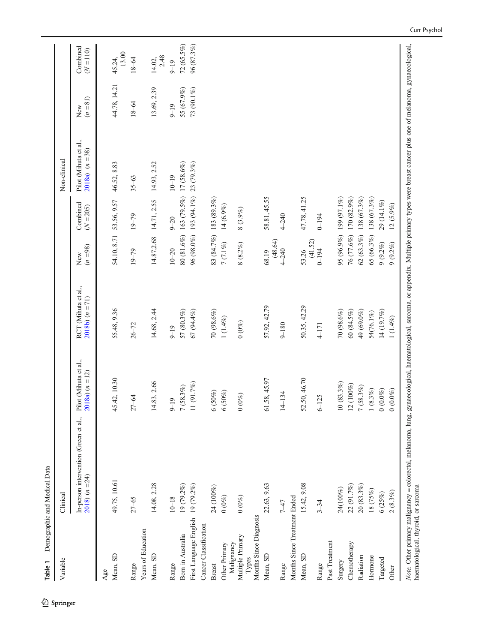<span id="page-3-0"></span>

| Table 1                                 | Demographic and Medical Data                                                                                                                                                                       |                                                   |                                           |                   |                         |                                             |                   |                         |
|-----------------------------------------|----------------------------------------------------------------------------------------------------------------------------------------------------------------------------------------------------|---------------------------------------------------|-------------------------------------------|-------------------|-------------------------|---------------------------------------------|-------------------|-------------------------|
| Variable                                | Clinical                                                                                                                                                                                           |                                                   |                                           |                   |                         | Non-clinical                                |                   |                         |
|                                         | In-person intervention (Green et al.,<br>$2018(n=24)$                                                                                                                                              | Pilot (Mihuta et al.,<br>$2018a$ ( <i>n</i> = 12) | RCT (Mihuta et al.,<br>$2018b$ $(n = 71)$ | $(n = 98)$<br>New | Combined<br>$(N = 205)$ | Pilot (Mihuta et al.,<br>$2018a$ $(n = 38)$ | $(n = 81)$<br>New | Combined<br>$(N = 110)$ |
| Age                                     |                                                                                                                                                                                                    |                                                   |                                           |                   |                         |                                             |                   |                         |
| Mean, SD                                | 49.75, 10.61                                                                                                                                                                                       | 45.42, 10.30                                      | 55.48, 9.36                               | 54.10, 8.71       | 53.56, 9.57             | 46.52, 8.83                                 | 44.78, 14.21      | 13.00<br>45.24,         |
| Range                                   | $27 - 65$                                                                                                                                                                                          | $27 - 64$                                         | $26 - 72$                                 | $19 - 79$         | $19 - 79$               | $35 - 63$                                   | $18 - 64$         | $18 - 64$               |
| Years of Education                      |                                                                                                                                                                                                    |                                                   |                                           |                   |                         |                                             |                   |                         |
| Mean, SD                                | 14.08, 2.28                                                                                                                                                                                        | 14.83, 2.66                                       | 14.68, 2.44                               | 14.87,2.68        | 14.71, 2.55             | 14.93, 2.52                                 | 13.69, 2.39       | 2.48<br>14.02,          |
| Range                                   | $10 - 18$                                                                                                                                                                                          | $9 - 19$                                          | $9 - 19$                                  | $10 - 20$         | $9 - 20$                | $10 - 19$                                   | $9 - 19$          | $9 - 19$                |
| Born in Australia                       | 19 (79.2%)                                                                                                                                                                                         | 7(58.3%)                                          | 57 (80.3%)                                |                   | 80 (81.6%) 163 (79.5%)  | 17 (58.6%)                                  | 55 (67.9%)        | $72(65.5\%)$            |
| First Language English                  | 19 (79.2%)                                                                                                                                                                                         | 11 (91.7%)                                        | 67 (94.4%)                                |                   | 96 (98.0%) 193 (94.1%)  | 23 (79.3%)                                  | 73 (90.1%)        | 96 (87.3%)              |
| Cancer Classification                   |                                                                                                                                                                                                    |                                                   |                                           |                   |                         |                                             |                   |                         |
| <b>Breast</b>                           | 24 (100%)                                                                                                                                                                                          | $(50\%)$<br>$\circ$                               | 70 (98.6%)                                |                   | 83 (84.7%) 183 (89.3%)  |                                             |                   |                         |
| Other Primary                           | $0\ (0\%)$                                                                                                                                                                                         | $(50\%)$<br>$\circ$                               | $1(1.4\%)$                                | $7(7.1\%)$        | $14(6.9\%)$             |                                             |                   |                         |
| Multiple Primary<br>Malignancy<br>Types | $0\ (0\%)$                                                                                                                                                                                         | $(0\%)$<br>$\circ$                                | $0\ (0\%)$                                | $8~(8.2\%)$       | 8 (3.9%)                |                                             |                   |                         |
| Months Since Diagnosis                  |                                                                                                                                                                                                    |                                                   |                                           |                   |                         |                                             |                   |                         |
| Mean, SD                                | 22.63, 9.63                                                                                                                                                                                        | 61.58, 45.97                                      | 57.92, 42.79                              | (48.64)<br>68.19  | 58.81, 45.55            |                                             |                   |                         |
| Range                                   | $7 - 47$                                                                                                                                                                                           | $4 - 134$                                         | $9 - 180$                                 | $4 - 240$         | $4 - 240$               |                                             |                   |                         |
| Months Since Treatment Ended            |                                                                                                                                                                                                    |                                                   |                                           |                   |                         |                                             |                   |                         |
| Mean, SD                                | 15.42, 9.08                                                                                                                                                                                        | 52.50, 46.70                                      | 50.35, 42.29                              | (41.52)<br>53.26  | 47.78, 41.25            |                                             |                   |                         |
| Range                                   | $3 - 34$                                                                                                                                                                                           | $6 - 125$                                         | $4 - 171$                                 | $0 - 194$         | $0 - 194$               |                                             |                   |                         |
| Past Treatment                          |                                                                                                                                                                                                    |                                                   |                                           |                   |                         |                                             |                   |                         |
| Surgery                                 | 24(100%)                                                                                                                                                                                           | 0(83.3%)                                          | 70 (98.6%)                                | 95 (96.9%)        | 199 (97.1%)             |                                             |                   |                         |
| Chemotherapy                            | 22 (91.7%)                                                                                                                                                                                         | 2 (100%)                                          | 60(84.5%)                                 | 76 (77.6%)        | 170 (82.9%)             |                                             |                   |                         |
| Radiation                               | 20(83.3%)                                                                                                                                                                                          | $(58.3\%)$                                        | 49 (69.0%)                                | $62(63.3\%)$      | 138 (67.3%)             |                                             |                   |                         |
| Hormone                                 | 18 (75%)                                                                                                                                                                                           | $(8.3\%)$                                         | 54(76.1%)                                 | $65 (66.3\%)$     | 138 (67.3%)             |                                             |                   |                         |
| Targeted                                | 6(25%)                                                                                                                                                                                             | $(0.0\%)$<br>$\circ$                              | 14 (19.7%)                                | $9(9.2\%)$        | 29 (14.1%)              |                                             |                   |                         |
| Other                                   | 2(8.3%)                                                                                                                                                                                            | $(0.0\%)$<br>$\circ$                              | $1\ (1.4\%)$                              | $9(9.2\%)$        | $12(5.9\%)$             |                                             |                   |                         |
| haematological, thyroid, or sarcoma     | Note. Other primary malignancy = colorectal, melanoma, lung, gynaecological, haematological, sarcoma, or appendix. Multiple primary types were breast cancer plus one of melanoma, gynaecological, |                                                   |                                           |                   |                         |                                             |                   |                         |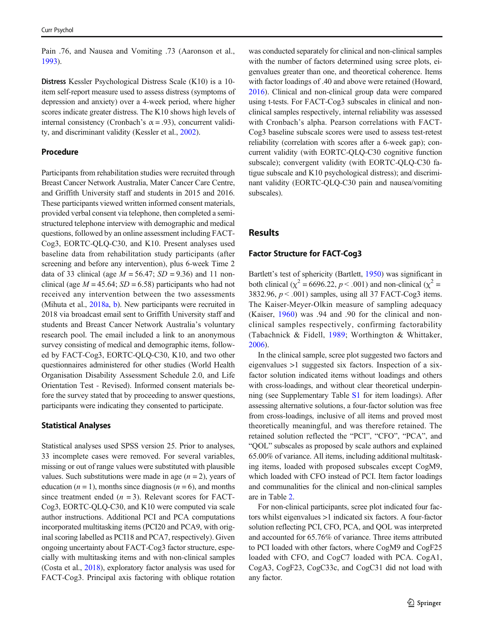Pain .76, and Nausea and Vomiting .73 (Aaronson et al., [1993\)](#page-8-0).

Distress Kessler Psychological Distress Scale (K10) is a 10 item self-report measure used to assess distress (symptoms of depression and anxiety) over a 4-week period, where higher scores indicate greater distress. The K10 shows high levels of internal consistency (Cronbach's  $\alpha$  = .93), concurrent validity, and discriminant validity (Kessler et al., [2002](#page-9-0)).

#### Procedure

Participants from rehabilitation studies were recruited through Breast Cancer Network Australia, Mater Cancer Care Centre, and Griffith University staff and students in 2015 and 2016. These participants viewed written informed consent materials, provided verbal consent via telephone, then completed a semistructured telephone interview with demographic and medical questions, followed by an online assessment including FACT-Cog3, EORTC-QLQ-C30, and K10. Present analyses used baseline data from rehabilitation study participants (after screening and before any intervention), plus 6-week Time 2 data of 33 clinical (age  $M = 56.47$ ;  $SD = 9.36$ ) and 11 nonclinical (age  $M = 45.64$ ;  $SD = 6.58$ ) participants who had not received any intervention between the two assessments (Mihuta et al., [2018a,](#page-9-0) [b](#page-9-0)). New participants were recruited in 2018 via broadcast email sent to Griffith University staff and students and Breast Cancer Network Australia's voluntary research pool. The email included a link to an anonymous survey consisting of medical and demographic items, followed by FACT-Cog3, EORTC-QLQ-C30, K10, and two other questionnaires administered for other studies (World Health Organisation Disability Assessment Schedule 2.0, and Life Orientation Test - Revised). Informed consent materials before the survey stated that by proceeding to answer questions, participants were indicating they consented to participate.

## Statistical Analyses

Statistical analyses used SPSS version 25. Prior to analyses, 33 incomplete cases were removed. For several variables, missing or out of range values were substituted with plausible values. Such substitutions were made in age  $(n = 2)$ , years of education ( $n = 1$ ), months since diagnosis ( $n = 6$ ), and months since treatment ended  $(n = 3)$ . Relevant scores for FACT-Cog3, EORTC-QLQ-C30, and K10 were computed via scale author instructions. Additional PCI and PCA computations incorporated multitasking items (PCI20 and PCA9, with original scoring labelled as PCI18 and PCA7, respectively). Given ongoing uncertainty about FACT-Cog3 factor structure, especially with multitasking items and with non-clinical samples (Costa et al., [2018](#page-9-0)), exploratory factor analysis was used for FACT-Cog3. Principal axis factoring with oblique rotation

was conducted separately for clinical and non-clinical samples with the number of factors determined using scree plots, eigenvalues greater than one, and theoretical coherence. Items with factor loadings of .40 and above were retained (Howard, [2016\)](#page-9-0). Clinical and non-clinical group data were compared using t-tests. For FACT-Cog3 subscales in clinical and nonclinical samples respectively, internal reliability was assessed with Cronbach's alpha. Pearson correlations with FACT-Cog3 baseline subscale scores were used to assess test-retest reliability (correlation with scores after a 6-week gap); concurrent validity (with EORTC-QLQ-C30 cognitive function subscale); convergent validity (with EORTC-QLQ-C30 fatigue subscale and K10 psychological distress); and discriminant validity (EORTC-QLQ-C30 pain and nausea/vomiting subscales).

# Results

## Factor Structure for FACT-Cog3

Bartlett's test of sphericity (Bartlett, [1950](#page-9-0)) was significant in both clinical ( $\chi^2$  = 6696.22, *p* < .001) and non-clinical ( $\chi^2$  = 3832.96,  $p < .001$ ) samples, using all 37 FACT-Cog3 items. The Kaiser-Meyer-Olkin measure of sampling adequacy (Kaiser, [1960\)](#page-9-0) was .94 and .90 for the clinical and nonclinical samples respectively, confirming factorability (Tabachnick & Fidell, [1989](#page-9-0); Worthington & Whittaker, [2006\)](#page-10-0).

In the clinical sample, scree plot suggested two factors and eigenvalues >1 suggested six factors. Inspection of a sixfactor solution indicated items without loadings and others with cross-loadings, and without clear theoretical underpinning (see Supplementary Table S1 for item loadings). After assessing alternative solutions, a four-factor solution was free from cross-loadings, inclusive of all items and proved most theoretically meaningful, and was therefore retained. The retained solution reflected the "PCI", "CFO", "PCA", and "QOL" subscales as proposed by scale authors and explained 65.00% of variance. All items, including additional multitasking items, loaded with proposed subscales except CogM9, which loaded with CFO instead of PCI. Item factor loadings and communalities for the clinical and non-clinical samples are in Table [2](#page-5-0).

For non-clinical participants, scree plot indicated four factors whilst eigenvalues >1 indicated six factors. A four-factor solution reflecting PCI, CFO, PCA, and QOL was interpreted and accounted for 65.76% of variance. Three items attributed to PCI loaded with other factors, where CogM9 and CogF25 loaded with CFO, and CogC7 loaded with PCA. CogA1, CogA3, CogF23, CogC33c, and CogC31 did not load with any factor.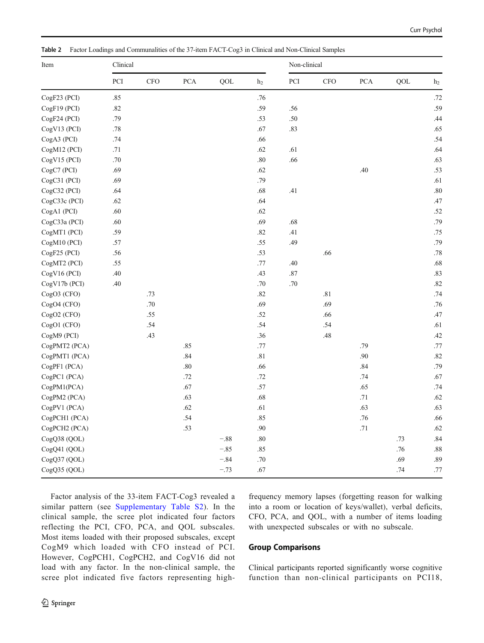| Item          | Clinical |     |            |        |                | Non-clinical |            |             |     |                |  |  |
|---------------|----------|-----|------------|--------|----------------|--------------|------------|-------------|-----|----------------|--|--|
|               | PCI      | CFO | <b>PCA</b> | QOL    | h <sub>2</sub> | PCI          | <b>CFO</b> | ${\rm PCA}$ | QOL | h <sub>2</sub> |  |  |
| CogF23 (PCI)  | .85      |     |            |        | .76            |              |            |             |     | .72            |  |  |
| CogF19 (PCI)  | .82      |     |            |        | .59            | .56          |            |             |     | .59            |  |  |
| CogF24 (PCI)  | .79      |     |            |        | .53            | .50          |            |             |     | .44            |  |  |
| CogV13 (PCI)  | .78      |     |            |        | .67            | .83          |            |             |     | .65            |  |  |
| CogA3 (PCI)   | .74      |     |            |        | .66            |              |            |             |     | .54            |  |  |
| CogM12 (PCI)  | .71      |     |            |        | .62            | .61          |            |             |     | .64            |  |  |
| CogV15 (PCI)  | .70      |     |            |        | $.80\,$        | .66          |            |             |     | .63            |  |  |
| CogC7 (PCI)   | .69      |     |            |        | .62            |              |            | .40         |     | .53            |  |  |
| CogC31 (PCI)  | .69      |     |            |        | .79            |              |            |             |     | .61            |  |  |
| CogC32 (PCI)  | .64      |     |            |        | .68            | .41          |            |             |     | .80            |  |  |
| CogC33c (PCI) | .62      |     |            |        | .64            |              |            |             |     | .47            |  |  |
| CogA1 (PCI)   | .60      |     |            |        | .62            |              |            |             |     | .52            |  |  |
| CogC33a (PCI) | .60      |     |            |        | .69            | .68          |            |             |     | .79            |  |  |
| CogMT1 (PCI)  | .59      |     |            |        | $.82\,$        | .41          |            |             |     | .75            |  |  |
| CogM10 (PCI)  | .57      |     |            |        | .55            | .49          |            |             |     | .79            |  |  |
| CogF25 (PCI)  | .56      |     |            |        | .53            |              | .66        |             |     | .78            |  |  |
| CogMT2 (PCI)  | .55      |     |            |        | .77            | .40          |            |             |     | .68            |  |  |
| CogV16 (PCI)  | .40      |     |            |        | .43            | .87          |            |             |     | .83            |  |  |
| CogV17b (PCI) | .40      |     |            |        | .70            | .70          |            |             |     | .82            |  |  |
| CogO3 (CFO)   |          | .73 |            |        | .82            |              | .81        |             |     | .74            |  |  |
| CogO4 (CFO)   |          | .70 |            |        | .69            |              | .69        |             |     | .76            |  |  |
| CogO2 (CFO)   |          | .55 |            |        | .52            |              | .66        |             |     | .47            |  |  |
| CogO1 (CFO)   |          | .54 |            |        | .54            |              | .54        |             |     | .61            |  |  |
| CogM9 (PCI)   |          | .43 |            |        | .36            |              | $.48\,$    |             |     | .42            |  |  |
| CogPMT2 (PCA) |          |     | .85        |        | .77            |              |            | .79         |     | .77            |  |  |
| CogPMT1 (PCA) |          |     | .84        |        | .81            |              |            | .90         |     | .82            |  |  |
| CogPF1 (PCA)  |          |     | .80        |        | .66            |              |            | .84         |     | .79            |  |  |
| CogPC1 (PCA)  |          |     | .72        |        | .72            |              |            | .74         |     | .67            |  |  |
| CogPM1(PCA)   |          |     | .67        |        | .57            |              |            | .65         |     | .74            |  |  |
| CogPM2 (PCA)  |          |     | .63        |        | .68            |              |            | .71         |     | .62            |  |  |
| CogPV1 (PCA)  |          |     | .62        |        | .61            |              |            | .63         |     | .63            |  |  |
| CogPCH1 (PCA) |          |     | .54        |        | .85            |              |            | .76         |     | .66            |  |  |
| CogPCH2 (PCA) |          |     | .53        |        | .90            |              |            | $.71\,$     |     | .62            |  |  |
| CogQ38 (QOL)  |          |     |            | $-.88$ | .80            |              |            |             | .73 | .84            |  |  |
| CogQ41 (QOL)  |          |     |            | $-.85$ | .85            |              |            |             | .76 | .88            |  |  |
| CogQ37 (QOL)  |          |     |            | $-.84$ | $.70\,$        |              |            |             | .69 | .89            |  |  |
| CogQ35 (QOL)  |          |     |            | $-.73$ | .67            |              |            |             | .74 | .77            |  |  |

<span id="page-5-0"></span>Table 2 Factor Loadings and Communalities of the 37-item FACT-Cog3 in Clinical and Non-Clinical Samples

Factor analysis of the 33-item FACT-Cog3 revealed a similar pattern (see Supplementary Table S2). In the clinical sample, the scree plot indicated four factors reflecting the PCI, CFO, PCA, and QOL subscales. Most items loaded with their proposed subscales, except CogM9 which loaded with CFO instead of PCI. However, CogPCH1, CogPCH2, and CogV16 did not load with any factor. In the non-clinical sample, the scree plot indicated five factors representing highfrequency memory lapses (forgetting reason for walking into a room or location of keys/wallet), verbal deficits, CFO, PCA, and QOL, with a number of items loading with unexpected subscales or with no subscale.

## Group Comparisons

Clinical participants reported significantly worse cognitive function than non-clinical participants on PCI18,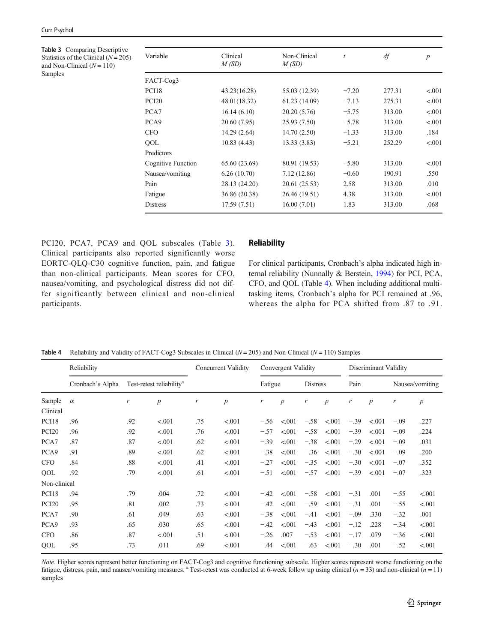<span id="page-6-0"></span>Table 3 Comparing Descriptive Statistics of the Clinical  $(N = 205)$ and Non-Clinical  $(N = 110)$ Samples

| Variable           | Clinical      | Non-Clinical  | t       | df     | $\boldsymbol{p}$ |
|--------------------|---------------|---------------|---------|--------|------------------|
|                    | M(SD)         | M(SD)         |         |        |                  |
| FACT-Cog3          |               |               |         |        |                  |
| PCI18              | 43.23(16.28)  | 55.03 (12.39) | $-7.20$ | 277.31 | < .001           |
| PCI <sub>20</sub>  | 48.01(18.32)  | 61.23 (14.09) | $-7.13$ | 275.31 | < .001           |
| PCA7               | 16.14(6.10)   | 20.20 (5.76)  | $-5.75$ | 313.00 | < .001           |
| PCA <sub>9</sub>   | 20.60 (7.95)  | 25.93(7.50)   | $-5.78$ | 313.00 | < .001           |
| <b>CFO</b>         | 14.29 (2.64)  | 14.70 (2.50)  | $-1.33$ | 313.00 | .184             |
| QOL                | 10.83(4.43)   | 13.33(3.83)   | $-5.21$ | 252.29 | < .001           |
| Predictors         |               |               |         |        |                  |
| Cognitive Function | 65.60 (23.69) | 80.91 (19.53) | $-5.80$ | 313.00 | < .001           |
| Nausea/vomiting    | 6.26(10.70)   | 7.12(12.86)   | $-0.60$ | 190.91 | .550             |
| Pain               | 28.13 (24.20) | 20.61 (25.53) | 2.58    | 313.00 | .010             |
| Fatigue            | 36.86 (20.38) | 26.46 (19.51) | 4.38    | 313.00 | < .001           |
| <b>Distress</b>    | 17.59 (7.51)  | 16.00(7.01)   | 1.83    | 313.00 | .068             |

PCI20, PCA7, PCA9 and QOL subscales (Table 3). Clinical participants also reported significantly worse EORTC-QLQ-C30 cognitive function, pain, and fatigue than non-clinical participants. Mean scores for CFO, nausea/vomiting, and psychological distress did not differ significantly between clinical and non-clinical participants.

## **Reliability**

For clinical participants, Cronbach's alpha indicated high internal reliability (Nunnally & Berstein, [1994\)](#page-9-0) for PCI, PCA, CFO, and QOL (Table 4). When including additional multitasking items, Cronbach's alpha for PCI remained at .96, whereas the alpha for PCA shifted from .87 to .91.

|  |  |  |  |  | Table 4 Reliability and Validity of FACT-Cog3 Subscales in Clinical $(N = 205)$ and Non-Clinical $(N = 110)$ Samples |
|--|--|--|--|--|----------------------------------------------------------------------------------------------------------------------|
|--|--|--|--|--|----------------------------------------------------------------------------------------------------------------------|

|                    | Reliability      |     |                                      |     | Concurrent Validity |         | Convergent Validity |                 |                  | Discriminant Validity |                  |        |                  |
|--------------------|------------------|-----|--------------------------------------|-----|---------------------|---------|---------------------|-----------------|------------------|-----------------------|------------------|--------|------------------|
|                    | Cronbach's Alpha |     | Test-retest reliability <sup>a</sup> |     |                     | Fatigue |                     | <b>Distress</b> |                  | Pain                  |                  |        | Nausea/vomiting  |
| Sample<br>Clinical | $\alpha$         | r   | $\boldsymbol{p}$                     | r   | $\boldsymbol{p}$    | r       | $\boldsymbol{p}$    | r               | $\boldsymbol{p}$ | r                     | $\boldsymbol{p}$ | r      | $\boldsymbol{p}$ |
| PCI18              | .96              | .92 | < .001                               | .75 | < 0.001             | $-.56$  | < 0.01              | $-.58$          | < 0.001          | $-.39$                | < 0.001          | $-.09$ | .227             |
| PCI <sub>20</sub>  | .96              | .92 | < .001                               | .76 | < .001              | $-.57$  | < 0.01              | $-.58$          | < 0.001          | $-.39$                | < 0.001          | $-.09$ | .224             |
| PCA7               | .87              | .87 | < .001                               | .62 | < .001              | $-.39$  | < 0.01              | $-.38$          | < 0.001          | $-.29$                | < .001           | $-.09$ | .031             |
| PCA <sub>9</sub>   | .91              | .89 | < .001                               | .62 | < .001              | $-.38$  | < 0.001             | $-.36$          | < 0.001          | $-.30$                | < 0.001          | $-.09$ | .200             |
| <b>CFO</b>         | .84              | .88 | < .001                               | .41 | < .001              | $-.27$  | < 0.01              | $-.35$          | < 0.001          | $-.30$                | < .001           | $-.07$ | .352             |
| QOL                | .92              | .79 | < .001                               | .61 | < 0.001             | $-.51$  | < 0.01              | $-.57$          | < 0.001          | $-.39$                | < 0.001          | $-.07$ | .323             |
| Non-clinical       |                  |     |                                      |     |                     |         |                     |                 |                  |                       |                  |        |                  |
| PCI18              | .94              | .79 | .004                                 | .72 | < 0.001             | $-.42$  | < 0.01              | $-.58$          | < 0.001          | $-.31$                | .001             | $-.55$ | < 0.001          |
| PCI <sub>20</sub>  | .95              | .81 | .002                                 | .73 | < .001              | $-.42$  | < 0.01              | $-.59$          | < 0.001          | $-.31$                | .001             | $-.55$ | < .001           |
| PCA7               | .90              | .61 | .049                                 | .63 | < .001              | $-.38$  | < 0.01              | $-.41$          | < .001           | $-.09$                | .330             | $-.32$ | .001             |
| PCA <sub>9</sub>   | .93              | .65 | .030                                 | .65 | < 0.001             | $-.42$  | < 0.001             | $-.43$          | < 0.001          | $-.12$                | .228             | $-.34$ | < .001           |
| <b>CFO</b>         | .86              | .87 | < .001                               | .51 | < .001              | $-.26$  | .007                | $-.53$          | < .001           | $-.17$                | .079             | $-.36$ | < .001           |
| QOL                | .95              | .73 | .011                                 | .69 | < 0.001             | $-.44$  | < 0.001             | $-.63$          | < .001           | $-.30$                | .001             | $-.52$ | < .001           |

Note. Higher scores represent better functioning on FACT-Cog3 and cognitive functioning subscale. Higher scores represent worse functioning on the fatigue, distress, pain, and nausea/vomiting measures. <sup>a</sup> Test-retest was conducted at 6-week follow up using clinical  $(n = 33)$  and non-clinical  $(n = 11)$ samples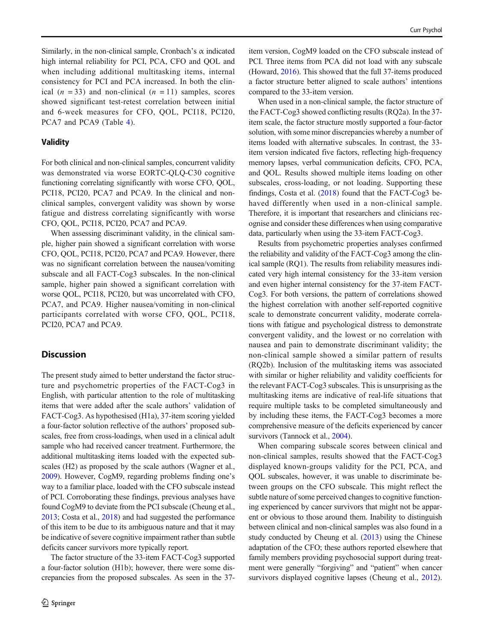Similarly, in the non-clinical sample, Cronbach's  $\alpha$  indicated high internal reliability for PCI, PCA, CFO and QOL and when including additional multitasking items, internal consistency for PCI and PCA increased. In both the clinical  $(n = 33)$  and non-clinical  $(n = 11)$  samples, scores showed significant test-retest correlation between initial and 6-week measures for CFO, QOL, PCI18, PCI20, PCA7 and PCA9 (Table [4](#page-6-0)).

## Validity

For both clinical and non-clinical samples, concurrent validity was demonstrated via worse EORTC-QLQ-C30 cognitive functioning correlating significantly with worse CFO, QOL, PCI18, PCI20, PCA7 and PCA9. In the clinical and nonclinical samples, convergent validity was shown by worse fatigue and distress correlating significantly with worse CFO, QOL, PCI18, PCI20, PCA7 and PCA9.

When assessing discriminant validity, in the clinical sample, higher pain showed a significant correlation with worse CFO, QOL, PCI18, PCI20, PCA7 and PCA9. However, there was no significant correlation between the nausea/vomiting subscale and all FACT-Cog3 subscales. In the non-clinical sample, higher pain showed a significant correlation with worse QOL, PCI18, PCI20, but was uncorrelated with CFO, PCA7, and PCA9. Higher nausea/vomiting in non-clinical participants correlated with worse CFO, QOL, PCI18, PCI20, PCA7 and PCA9.

# **Discussion**

The present study aimed to better understand the factor structure and psychometric properties of the FACT-Cog3 in English, with particular attention to the role of multitasking items that were added after the scale authors' validation of FACT-Cog3. As hypothesised (H1a), 37-item scoring yielded a four-factor solution reflective of the authors' proposed subscales, free from cross-loadings, when used in a clinical adult sample who had received cancer treatment. Furthermore, the additional multitasking items loaded with the expected subscales (H2) as proposed by the scale authors (Wagner et al., [2009\)](#page-10-0). However, CogM9, regarding problems finding one's way to a familiar place, loaded with the CFO subscale instead of PCI. Corroborating these findings, previous analyses have found CogM9 to deviate from the PCI subscale (Cheung et al., [2013;](#page-9-0) Costa et al., [2018\)](#page-9-0) and had suggested the performance of this item to be due to its ambiguous nature and that it may be indicative of severe cognitive impairment rather than subtle deficits cancer survivors more typically report.

The factor structure of the 33-item FACT-Cog3 supported a four-factor solution (H1b); however, there were some discrepancies from the proposed subscales. As seen in the 37item version, CogM9 loaded on the CFO subscale instead of PCI. Three items from PCA did not load with any subscale (Howard, [2016](#page-9-0)). This showed that the full 37-items produced a factor structure better aligned to scale authors' intentions compared to the 33-item version.

When used in a non-clinical sample, the factor structure of the FACT-Cog3 showed conflicting results (RQ2a). In the 37 item scale, the factor structure mostly supported a four-factor solution, with some minor discrepancies whereby a number of items loaded with alternative subscales. In contrast, the 33 item version indicated five factors, reflecting high-frequency memory lapses, verbal communication deficits, CFO, PCA, and QOL. Results showed multiple items loading on other subscales, cross-loading, or not loading. Supporting these findings, Costa et al. ([2018](#page-9-0)) found that the FACT-Cog3 behaved differently when used in a non-clinical sample. Therefore, it is important that researchers and clinicians recognise and consider these differences when using comparative data, particularly when using the 33-item FACT-Cog3.

Results from psychometric properties analyses confirmed the reliability and validity of the FACT-Cog3 among the clinical sample (RQ1). The results from reliability measures indicated very high internal consistency for the 33-item version and even higher internal consistency for the 37-item FACT-Cog3. For both versions, the pattern of correlations showed the highest correlation with another self-reported cognitive scale to demonstrate concurrent validity, moderate correlations with fatigue and psychological distress to demonstrate convergent validity, and the lowest or no correlation with nausea and pain to demonstrate discriminant validity; the non-clinical sample showed a similar pattern of results (RQ2b). Inclusion of the multitasking items was associated with similar or higher reliability and validity coefficients for the relevant FACT-Cog3 subscales. This is unsurprising as the multitasking items are indicative of real-life situations that require multiple tasks to be completed simultaneously and by including these items, the FACT-Cog3 becomes a more comprehensive measure of the deficits experienced by cancer survivors (Tannock et al., [2004](#page-10-0)).

When comparing subscale scores between clinical and non-clinical samples, results showed that the FACT-Cog3 displayed known-groups validity for the PCI, PCA, and QOL subscales, however, it was unable to discriminate between groups on the CFO subscale. This might reflect the subtle nature of some perceived changes to cognitive functioning experienced by cancer survivors that might not be apparent or obvious to those around them. Inability to distinguish between clinical and non-clinical samples was also found in a study conducted by Cheung et al. [\(2013\)](#page-9-0) using the Chinese adaptation of the CFO; these authors reported elsewhere that family members providing psychosocial support during treatment were generally "forgiving" and "patient" when cancer survivors displayed cognitive lapses (Cheung et al., [2012\)](#page-9-0).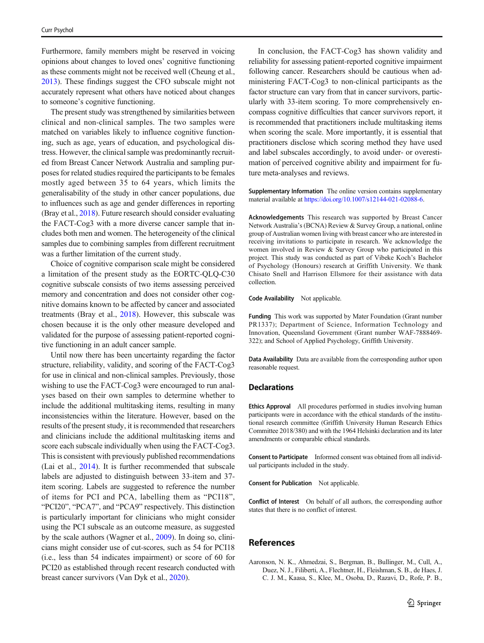<span id="page-8-0"></span>Furthermore, family members might be reserved in voicing opinions about changes to loved ones' cognitive functioning as these comments might not be received well (Cheung et al., [2013\)](#page-9-0). These findings suggest the CFO subscale might not accurately represent what others have noticed about changes to someone's cognitive functioning.

The present study was strengthened by similarities between clinical and non-clinical samples. The two samples were matched on variables likely to influence cognitive functioning, such as age, years of education, and psychological distress. However, the clinical sample was predominantly recruited from Breast Cancer Network Australia and sampling purposes for related studies required the participants to be females mostly aged between 35 to 64 years, which limits the generalisability of the study in other cancer populations, due to influences such as age and gender differences in reporting (Bray et al., [2018](#page-9-0)). Future research should consider evaluating the FACT-Cog3 with a more diverse cancer sample that includes both men and women. The heterogeneity of the clinical samples due to combining samples from different recruitment was a further limitation of the current study.

Choice of cognitive comparison scale might be considered a limitation of the present study as the EORTC-QLQ-C30 cognitive subscale consists of two items assessing perceived memory and concentration and does not consider other cognitive domains known to be affected by cancer and associated treatments (Bray et al., [2018\)](#page-9-0). However, this subscale was chosen because it is the only other measure developed and validated for the purpose of assessing patient-reported cognitive functioning in an adult cancer sample.

Until now there has been uncertainty regarding the factor structure, reliability, validity, and scoring of the FACT-Cog3 for use in clinical and non-clinical samples. Previously, those wishing to use the FACT-Cog3 were encouraged to run analyses based on their own samples to determine whether to include the additional multitasking items, resulting in many inconsistencies within the literature. However, based on the results of the present study, it is recommended that researchers and clinicians include the additional multitasking items and score each subscale individually when using the FACT-Cog3. This is consistent with previously published recommendations (Lai et al., [2014\)](#page-9-0). It is further recommended that subscale labels are adjusted to distinguish between 33-item and 37 item scoring. Labels are suggested to reference the number of items for PCI and PCA, labelling them as "PCI18", "PCI20", "PCA7", and "PCA9" respectively. This distinction is particularly important for clinicians who might consider using the PCI subscale as an outcome measure, as suggested by the scale authors (Wagner et al., [2009](#page-10-0)). In doing so, clinicians might consider use of cut-scores, such as 54 for PCI18 (i.e., less than 54 indicates impairment) or score of 60 for PCI20 as established through recent research conducted with breast cancer survivors (Van Dyk et al., [2020](#page-10-0)).

In conclusion, the FACT-Cog3 has shown validity and reliability for assessing patient-reported cognitive impairment following cancer. Researchers should be cautious when administering FACT-Cog3 to non-clinical participants as the factor structure can vary from that in cancer survivors, particularly with 33-item scoring. To more comprehensively encompass cognitive difficulties that cancer survivors report, it is recommended that practitioners include multitasking items when scoring the scale. More importantly, it is essential that practitioners disclose which scoring method they have used and label subscales accordingly, to avoid under- or overestimation of perceived cognitive ability and impairment for future meta-analyses and reviews.

Supplementary Information The online version contains supplementary material available at [https://doi.org/10.1007/s12144-021-02088-6.](https://doi.org/10.1007/s12144-021-02088-6)

Acknowledgements This research was supported by Breast Cancer Network Australia's (BCNA) Review & Survey Group, a national, online group of Australian women living with breast cancer who are interested in receiving invitations to participate in research. We acknowledge the women involved in Review & Survey Group who participated in this project. This study was conducted as part of Vibeke Koch's Bachelor of Psychology (Honours) research at Griffith University. We thank Chisato Snell and Harrison Ellsmore for their assistance with data collection.

Code Availability Not applicable.

Funding This work was supported by Mater Foundation (Grant number PR1337); Department of Science, Information Technology and Innovation, Queensland Government (Grant number WAF-7888469- 322); and School of Applied Psychology, Griffith University.

Data Availability Data are available from the corresponding author upon reasonable request.

#### **Declarations**

Ethics Approval All procedures performed in studies involving human participants were in accordance with the ethical standards of the institutional research committee (Griffith University Human Research Ethics Committee 2018/380) and with the 1964 Helsinki declaration and its later amendments or comparable ethical standards.

Consent to Participate Informed consent was obtained from all individual participants included in the study.

Consent for Publication Not applicable.

Conflict of Interest On behalf of all authors, the corresponding author states that there is no conflict of interest.

# References

Aaronson, N. K., Ahmedzai, S., Bergman, B., Bullinger, M., Cull, A., Duez, N. J., Filiberti, A., Flechtner, H., Fleishman, S. B., de Haes, J. C. J. M., Kaasa, S., Klee, M., Osoba, D., Razavi, D., Rofe, P. B.,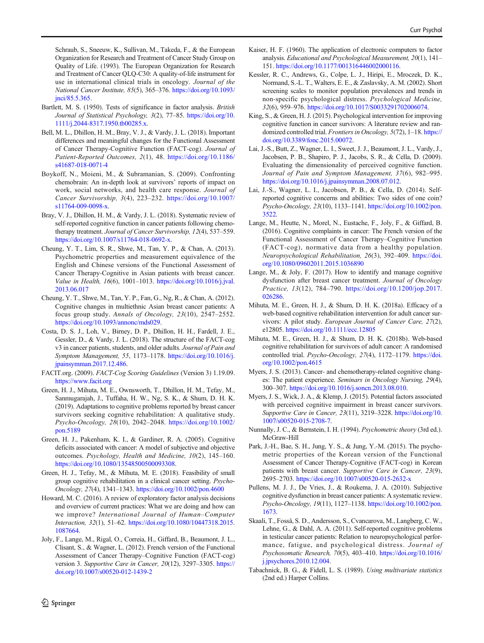- <span id="page-9-0"></span>Bartlett, M. S. (1950). Tests of significance in factor analysis. British Journal of Statistical Psychology, 3(2), 77–85. [https://doi.org/10.](https://doi.org/10.1111/j.2044-8317.1950.tb00285.x) [1111/j.2044-8317.1950.tb00285.x](https://doi.org/10.1111/j.2044-8317.1950.tb00285.x).
- Bell, M. L., Dhillon, H. M., Bray, V. J., & Vardy, J. L. (2018). Important differences and meaningful changes for the Functional Assessment of Cancer Therapy-Cognitive Function (FACT-cog). Journal of Patient-Reported Outcomes, 2(1), 48. [https://doi.org/10.1186/](https://doi.org/10.1186/s41687-018-0071-4) [s41687-018-0071-4](https://doi.org/10.1186/s41687-018-0071-4)
- Boykoff, N., Moieni, M., & Subramanian, S. (2009). Confronting chemobrain: An in-depth look at survivors' reports of impact on work, social networks, and health care response. Journal of Cancer Survivorship, 3(4), 223–232. [https://doi.org/10.1007/](https://doi.org/10.1007/s11764-009-0098-x) [s11764-009-0098-x.](https://doi.org/10.1007/s11764-009-0098-x)
- Bray, V. J., Dhillon, H. M., & Vardy, J. L. (2018). Systematic review of self-reported cognitive function in cancer patients following chemotherapy treatment. Journal of Cancer Survivorship, 12(4), 537–559. [https://doi.org/10.1007/s11764-018-0692-x.](https://doi.org/10.1007/s11764-018-0692-x)
- Cheung, Y. T., Lim, S. R., Shwe, M., Tan, Y. P., & Chan, A. (2013). Psychometric properties and measurement equivalence of the English and Chinese versions of the Functional Assessment of Cancer Therapy-Cognitive in Asian patients with breast cancer. Value in Health, 16(6), 1001–1013. [https://doi.org/10.1016/j.jval.](https://doi.org/10.1016/j.jval.2013.06.017) [2013.06.017](https://doi.org/10.1016/j.jval.2013.06.017)
- Cheung, Y. T., Shwe, M., Tan, Y. P., Fan, G., Ng, R., & Chan, A. (2012). Cognitive changes in multiethnic Asian breast cancer patients: A focus group study. Annals of Oncology, 23(10), 2547–2552. <https://doi.org/10.1093/annonc/mds029>.
- Costa, D. S. J., Loh, V., Birney, D. P., Dhillon, H. H., Fardell, J. E., Gessler, D., & Vardy, J. L. (2018). The structure of the FACT-cog v3 in cancer patients, students, and older adults. Journal of Pain and Symptom Management, 55, 1173–1178. [https://doi.org/10.1016/j.](https://doi.org/10.1016/j.jpainsymman.2017.12.486) [jpainsymman.2017.12.486](https://doi.org/10.1016/j.jpainsymman.2017.12.486).
- FACIT.org. (2009). FACT-Cog Scoring Guidelines (Version 3) 1.19.09. <https://www.facit.org>
- Green, H. J., Mihuta, M. E., Ownsworth, T., Dhillon, H. M., Tefay, M., Sanmugarajah, J., Tuffaha, H. W., Ng, S. K., & Shum, D. H. K. (2019). Adaptations to cognitive problems reported by breast cancer survivors seeking cognitive rehabilitation: A qualitative study. Psycho-Oncology, 28(10), 2042–2048. [https://doi.org/10.1002/](https://doi.org/10.1002/pon.5189) [pon.5189](https://doi.org/10.1002/pon.5189)
- Green, H. J., Pakenham, K. I., & Gardiner, R. A. (2005). Cognitive deficits associated with cancer: A model of subjective and objective outcomes. Psychology, Health and Medicine, 10(2), 145–160. <https://doi.org/10.1080/13548500500093308>.
- Green, H. J., Tefay, M., & Mihuta, M. E. (2018). Feasibility of small group cognitive rehabilitation in a clinical cancer setting. Psycho-Oncology, 27(4), 1341–1343. [https://doi.org/10.1002/pon.4600](https://doi.org/10.1002/pon.5189)
- Howard, M. C. (2016). A review of exploratory factor analysis decisions and overview of current practices: What we are doing and how can we improve? International Journal of Human–Computer Interaction, 32(1), 51–62. [https://doi.org/10.1080/10447318.2015.](https://doi.org/10.1080/10447318.2015.1087664) [1087664.](https://doi.org/10.1080/10447318.2015.1087664)
- Joly, F., Lange, M., Rigal, O., Correia, H., Giffard, B., Beaumont, J. L., Clisant, S., & Wagner, L. (2012). French version of the Functional Assessment of Cancer Therapy–Cognitive Function (FACT-cog) version 3. Supportive Care in Cancer, 20(12), 3297–3305. [https://](https://doi.org/10.1007/s00520-012-1439-2) [doi.org/10.1007/s00520-012-1439-2](https://doi.org/10.1007/s00520-012-1439-2)
- Kaiser, H. F. (1960). The application of electronic computers to factor analysis. Educational and Psychological Measurement, 20(1), 141– 151. <https://doi.org/10.1177/001316446002000116>.
- Kessler, R. C., Andrews, G., Colpe, L. J., Hiripi, E., Mroczek, D. K., Normand, S.-L. T., Walters, E. E., & Zaslavsky, A. M. (2002). Short screening scales to monitor population prevalences and trends in non-specific psychological distress. Psychological Medicine, 32(6), 959–976. <https://doi.org/10.1017/S0033291702006074>.
- King, S., & Green, H. J. (2015). Psychological intervention for improving cognitive function in cancer survivors: A literature review and randomized controlled trial. Frontiers in Oncology, 5(72), 1–18. [https://](https://doi.org/10.3389/fonc.2015.00072) [doi.org/10.3389/fonc.2015.00072](https://doi.org/10.3389/fonc.2015.00072).
- Lai, J.-S., Butt, Z., Wagner, L. I., Sweet, J. J., Beaumont, J. L., Vardy, J., Jacobsen, P. B., Shapiro, P. J., Jacobs, S. R., & Cella, D. (2009). Evaluating the dimensionality of perceived cognitive function. Journal of Pain and Symptom Management, 37(6), 982–995. [https://doi.org/10.1016/j.jpainsymman.2008.07.012.](https://doi.org/10.1016/j.jpainsymman.2008.07.012)
- Lai, J.-S., Wagner, L. I., Jacobsen, P. B., & Cella, D. (2014). Selfreported cognitive concerns and abilities: Two sides of one coin? Psycho-Oncology, 23(10), 1133–1141. [https://doi.org/10.1002/pon.](https://doi.org/10.1002/pon.3522) [3522.](https://doi.org/10.1002/pon.3522)
- Lange, M., Heutte, N., Morel, N., Eustache, F., Joly, F., & Giffard, B. (2016). Cognitive complaints in cancer: The French version of the Functional Assessment of Cancer Therapy–Cognitive Function (FACT-cog), normative data from a healthy population. Neuropsychological Rehabilitation, 26(3), 392–409. [https://doi.](https://doi.org/10.1080/09602011.2015.1036890) [org/10.1080/09602011.2015.1036890](https://doi.org/10.1080/09602011.2015.1036890)
- Lange, M., & Joly, F. (2017). How to identify and manage cognitive dysfunction after breast cancer treatment. Journal of Oncology Practice, 13(12), 784–790. [https://doi.org/10.1200/jop.2017.](https://doi.org/10.1200/jop.2017.026286) [026286.](https://doi.org/10.1200/jop.2017.026286)
- Mihuta, M. E., Green, H. J., & Shum, D. H. K. (2018a). Efficacy of a web-based cognitive rehabilitation intervention for adult cancer survivors: A pilot study. European Journal of Cancer Care, 27(2), e12805. <https://doi.org/10.1111/ecc.12805>
- Mihuta, M. E., Green, H. J., & Shum, D. H. K. (2018b). Web-based cognitive rehabilitation for survivors of adult cancer: A randomised controlled trial. Psycho-Oncology, 27(4), 1172–1179. [https://doi.](https://doi.org/10.1002/pon.4615) [org/10.1002/pon.4615](https://doi.org/10.1002/pon.4615)
- Myers, J. S. (2013). Cancer- and chemotherapy-related cognitive changes: The patient experience. Seminars in Oncology Nursing, 29(4), 300–307. <https://doi.org/10.1016/j.soncn.2013.08.010>.
- Myers, J. S., Wick, J. A., & Klemp, J. (2015). Potential factors associated with perceived cognitive impairment in breast cancer survivors. Supportive Care in Cancer, 23(11), 3219–3228. [https://doi.org/10.](https://doi.org/10.1007/s00520-015-2708-7) [1007/s00520-015-2708-7.](https://doi.org/10.1007/s00520-015-2708-7)
- Nunnally, J. C., & Bernstein, I. H. (1994). Psychometric theory (3rd ed.). McGraw-Hill
- Park, J.-H., Bae, S. H., Jung, Y. S., & Jung, Y.-M. (2015). The psychometric properties of the Korean version of the Functional Assessment of Cancer Therapy-Cognitive (FACT-cog) in Korean patients with breast cancer. Supportive Care in Cancer, 23(9), 2695–2703. <https://doi.org/10.1007/s00520-015-2632-x>
- Pullens, M. J. J., De Vries, J., & Roukema, J. A. (2010). Subjective cognitive dysfunction in breast cancer patients: A systematic review. Psycho-Oncology, 19(11), 1127–1138. [https://doi.org/10.1002/pon.](https://doi.org/10.1002/pon.1673) [1673.](https://doi.org/10.1002/pon.1673)
- Skaali, T., Fosså, S. D., Andersson, S., Cvancarova, M., Langberg, C. W., Lehne, G., & Dahl, A. A. (2011). Self-reported cognitive problems in testicular cancer patients: Relation to neuropsychological performance, fatigue, and psychological distress. Journal of Psychosomatic Research, 70(5), 403–410. [https://doi.org/10.1016/](https://doi.org/10.1016/j.jpsychores.2010.12.004) [j.jpsychores.2010.12.004](https://doi.org/10.1016/j.jpsychores.2010.12.004).
- Tabachnick, B. G., & Fidell, L. S. (1989). Using multivariate statistics (2nd ed.) Harper Collins.